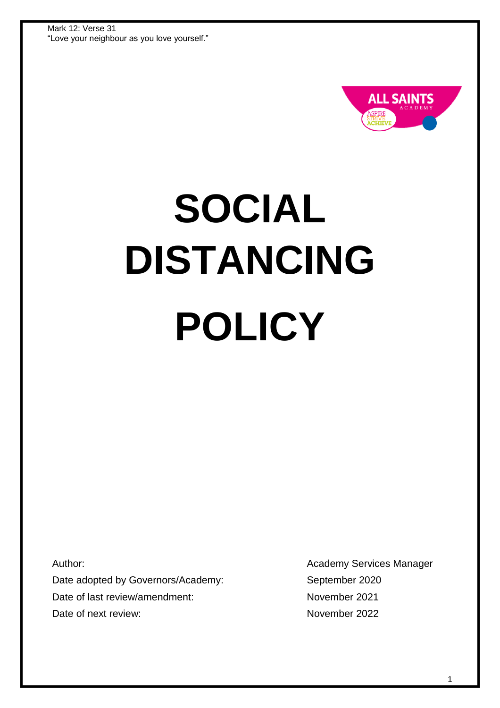

# **SOCIAL DISTANCING POLICY**

Author:

Date adopted by Governors/Academy: Date of last review/amendment: Date of next review:

Academy Services Manager September 2020 November 2021 November 2022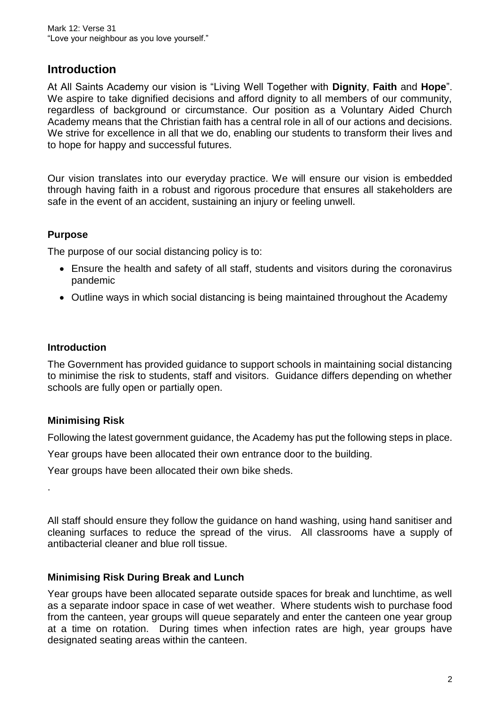# **Introduction**

At All Saints Academy our vision is "Living Well Together with **Dignity**, **Faith** and **Hope**". We aspire to take dignified decisions and afford dignity to all members of our community. regardless of background or circumstance. Our position as a Voluntary Aided Church Academy means that the Christian faith has a central role in all of our actions and decisions. We strive for excellence in all that we do, enabling our students to transform their lives and to hope for happy and successful futures.

Our vision translates into our everyday practice. We will ensure our vision is embedded through having faith in a robust and rigorous procedure that ensures all stakeholders are safe in the event of an accident, sustaining an injury or feeling unwell.

### **Purpose**

The purpose of our social distancing policy is to:

- Ensure the health and safety of all staff, students and visitors during the coronavirus pandemic
- Outline ways in which social distancing is being maintained throughout the Academy

### **Introduction**

The Government has provided guidance to support schools in maintaining social distancing to minimise the risk to students, staff and visitors. Guidance differs depending on whether schools are fully open or partially open.

# **Minimising Risk**

Following the latest government guidance, the Academy has put the following steps in place.

Year groups have been allocated their own entrance door to the building.

Year groups have been allocated their own bike sheds.

.

All staff should ensure they follow the guidance on hand washing, using hand sanitiser and cleaning surfaces to reduce the spread of the virus. All classrooms have a supply of antibacterial cleaner and blue roll tissue.

# **Minimising Risk During Break and Lunch**

Year groups have been allocated separate outside spaces for break and lunchtime, as well as a separate indoor space in case of wet weather. Where students wish to purchase food from the canteen, year groups will queue separately and enter the canteen one year group at a time on rotation. During times when infection rates are high, year groups have designated seating areas within the canteen.